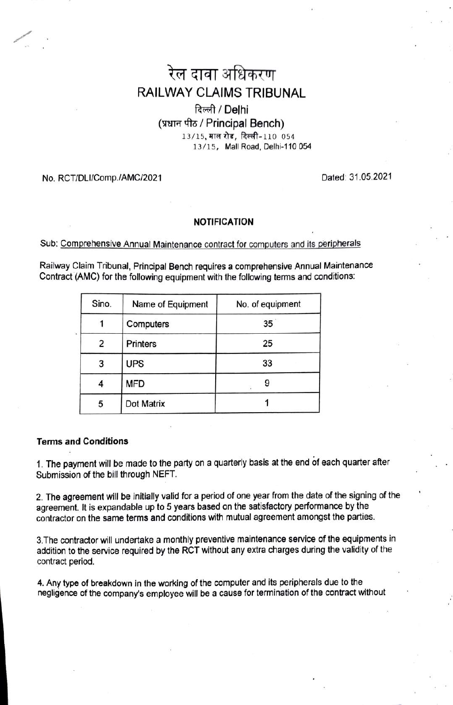# रेल दावा अधिकरण RAILWAY CLAIMS TRIBUNAL

## दिल्ली / Delhi (प्रधान पीठ / Principal Bench) 13/15, माल रोड, दिल्ली-110 054 13/15, Mall Road, Delhi-110 054

### No. RCT/DLI/Comp./AMC/2021 Dated: 31.05.2021

#### NOTIFICATION

Sub: Comprehensive Annual Maintenance contract for computers and its peripherals

Railway Claim Tribunal, Principal Bench requires a comprehensive Annual Maintenance Contract (AMC) for the following equipment with the following terms and conditions:

| Sino. | Name of Equipment | No. of equipment |
|-------|-------------------|------------------|
|       | Computers         | 35               |
| 2     | <b>Printers</b>   | 25               |
| 3     | <b>UPS</b>        | 33               |
|       | <b>MFD</b>        | 9                |
| 5     | Dot Matrix        |                  |

#### Terms and Conditions

1. The payment will be made to the party on a quarterly basis at the end of each quarter after Submission of the bill through NEFT

2. The agreement will be initially valid for a period of one year from the date of the signing of the agreement. It is expandable up to 5 years based on the satisfactory performance by the contractor on the same terms and conditions with mutual agreement amongst the parties

3.The contractor will undertake a monthly preventive maintenance service of the equipments in addition to the service required by the RCT without any extra charges during the validity of the contract period.

4. Any type of breakdown in the working of the computer and its peripherals due to the negligence of the company's employee will be a cause for termination of the contract without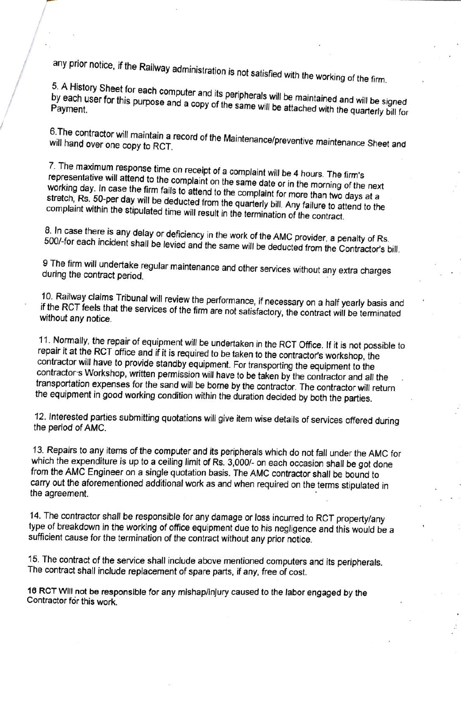any prior notice, if the Railway administration is not satisfied with the working of the firm.<br>5. A History Sheet for each computer and its peripherals will be maintained and will be signed<br>by each user for this purpose an

will 6.The hand contractor ונו actor will maintain a record of the Maintenance/preventive maintenance Sheet and<br>over one copy to RCT.

7. The maximum response time on receipt of a complaint will be 4 hours. The firm's representative will attend to the complaint on the same date or in the morning of the next working day. In case the firm fails to attend to stretch, Rs. 50-per day will be deducted from the quarterly bill. Any failure to attend to the complaint within the stipulated time will result in the termination of the contract.

8. In case there is any delay or deficiency in the work of the AMC provider, a penalty of Rs. 500/-for each incident shall be levied and the same will be deducted from the Contractor's bill.

9 The firm will undertake regular maintenance and other services without any extra charges during the contract period.

10. Railway claims Tribunal will review the performance, if necessary on a half yearly basis and if the RCT feels that the services of the firm are not satisfactory, the contract will be terminated without any notice.

11. Normally, the repair of equipment will be undertaken in the RCT Office. If it is not possible to repair it at the RCT office and if it is required to be taken to the contractor's workshop, the contractor will have to provide standby equipment. For transporting the equipment to the contractors Workshop, written permission will have to be taken by the contractor and all the transportation expenses for the sand will be borne by the contractor. The contractor will return the equipment in good working condition within the duration decided by both the parties.

12. Interested parties submitting quotations will give item wise details of services offered during the period of AMC.

13. Repairs to any items of the computer and its peripherals which do not fall under the AMC for which the expenditure is up to a ceiling limit of Rs. 3,000/- on each occasion shall be got done from the AMC Engineer on a single quotation basis. The AMC contractor shall be bound to carry out the aforementioned additional work as and when required on the terms stipulated in the agreement.

14. The contractor shall be responsible for any damage or loss incurred to RCT property/any type of breakdown in the working of office equipment due to his negligence and this would be a sufficient cause for the termination of the contract without any prior notice.

15. The contract of the service shall include above mentioned computers and its peripherals. The contract shall include replacement of spare parts, if any, free of cost.

16 RCT WIll not be responsible for any mishap/injury caused to the labor engaged by the Contractor for this work.